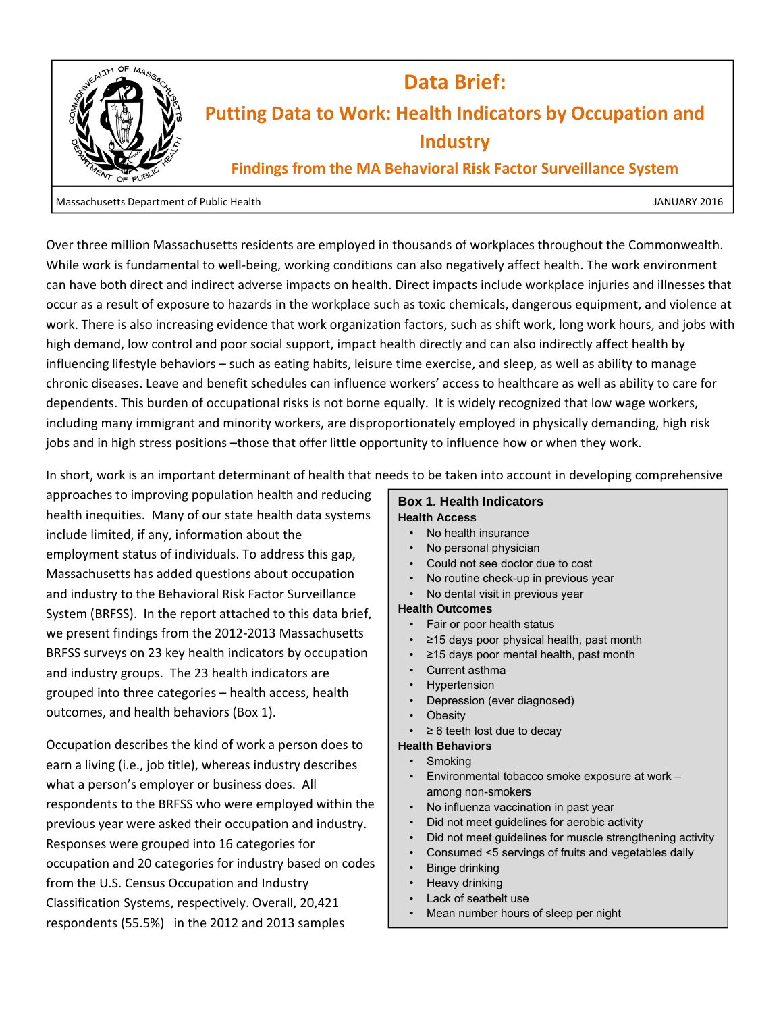

Over three million Massachusetts residents are employed in thousands of workplaces throughout the Commonwealth. While work is fundamental to well-being, working conditions can also negatively affect health. The work environment can have both direct and indirect adverse impacts on health. Direct impacts include workplace injuries and illnesses that occur as a result of exposure to hazards in the workplace such as toxic chemicals, dangerous equipment, and violence at work. There is also increasing evidence that work organization factors, such as shift work, long work hours, and jobs with high demand, low control and poor social support, impact health directly and can also indirectly affect health by influencing lifestyle behaviors – such as eating habits, leisure time exercise, and sleep, as well as ability to manage chronic diseases. Leave and benefit schedules can influence workers' access to healthcare as well as ability to care for dependents. This burden of occupational risks is not borne equally. It is widely recognized that low wage workers, including many immigrant and minority workers, are disproportionately employed in physically demanding, high risk jobs and in high stress positions -those that offer little opportunity to influence how or when they work.

In short, work is an important determinant of health that needs to be taken into account in developing comprehensive

approaches to improving population health and reducing health inequities. Many of our state health data systems include limited, if any, information about the employment status of individuals. To address this gap, Massachusetts has added questions about occupation and industry to the Behavioral Risk Factor Surveillance System (BRFSS). In the report attached to this data brief, we present findings from the 2012-2013 Massachusetts BRFSS surveys on 23 key health indicators by occupation and industry groups. The 23 health indicators are grouped into three categories – health access, health outcomes, and health behaviors (Box 1).

Occupation describes the kind of work a person does to earn a living (i.e., job title), whereas industry describes what a person's employer or business does. All respondents to the BRFSS who were employed within the previous year were asked their occupation and industry. Responses were grouped into 16 categories for occupation and 20 categories for industry based on codes from the U.S. Census Occupation and Industry Classification Systems, respectively. Overall, 20,421 respondents (55.5%) in the 2012 and 2013 samples

## **Box 1. Health Indicators Health Access**

- No health insurance
- No personal physician
- Could not see doctor due to cost
- No routine check-up in previous year
- No dental visit in previous year

## **Health Outcomes**

- Fair or poor health status
- ≥15 days poor physical health, past month
- ≥15 days poor mental health, past month
- Current asthma
- **Hypertension**
- Depression (ever diagnosed)
- **Obesity**
- $\geq 6$  teeth lost due to decay

## **Health Behaviors**

- Smoking
- Environmental tobacco smoke exposure at work among non-smokers
- No influenza vaccination in past year
- Did not meet guidelines for aerobic activity
- Did not meet guidelines for muscle strengthening activity
- Consumed <5 servings of fruits and vegetables daily
- Binge drinking
- Heavy drinking
- Lack of seatbelt use
- Mean number hours of sleep per night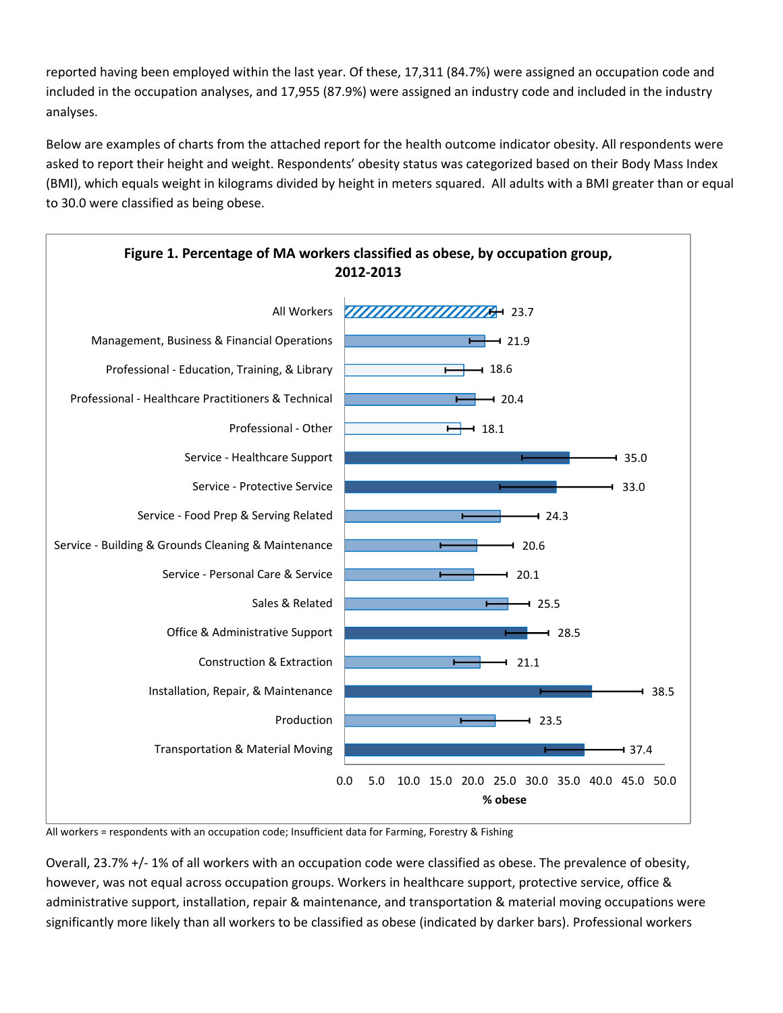reported having been employed within the last year. Of these, 17,311 (84.7%) were assigned an occupation code and included in the occupation analyses, and 17,955 (87.9%) were assigned an industry code and included in the industry analyses.

Below are examples of charts from the attached report for the health outcome indicator obesity. All respondents were asked to report their height and weight. Respondents' obesity status was categorized based on their Body Mass Index (BMI), which equals weight in kilograms divided by height in meters squared. All adults with a BMI greater than or equal to 30.0 were classified as being obese.



All workers = respondents with an occupation code; Insufficient data for Farming, Forestry & Fishing

Overall, 23.7% +/- 1% of all workers with an occupation code were classified as obese. The prevalence of obesity, however, was not equal across occupation groups. Workers in healthcare support, protective service, office & administrative support, installation, repair & maintenance, and transportation & material moving occupations were significantly more likely than all workers to be classified as obese (indicated by darker bars). Professional workers